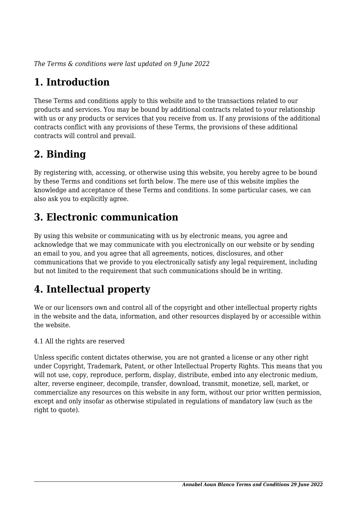*The Terms & conditions were last updated on 9 June 2022*

# **1. Introduction**

These Terms and conditions apply to this website and to the transactions related to our products and services. You may be bound by additional contracts related to your relationship with us or any products or services that you receive from us. If any provisions of the additional contracts conflict with any provisions of these Terms, the provisions of these additional contracts will control and prevail.

### **2. Binding**

By registering with, accessing, or otherwise using this website, you hereby agree to be bound by these Terms and conditions set forth below. The mere use of this website implies the knowledge and acceptance of these Terms and conditions. In some particular cases, we can also ask you to explicitly agree.

# **3. Electronic communication**

By using this website or communicating with us by electronic means, you agree and acknowledge that we may communicate with you electronically on our website or by sending an email to you, and you agree that all agreements, notices, disclosures, and other communications that we provide to you electronically satisfy any legal requirement, including but not limited to the requirement that such communications should be in writing.

# **4. Intellectual property**

We or our licensors own and control all of the copyright and other intellectual property rights in the website and the data, information, and other resources displayed by or accessible within the website.

4.1 All the rights are reserved

Unless specific content dictates otherwise, you are not granted a license or any other right under Copyright, Trademark, Patent, or other Intellectual Property Rights. This means that you will not use, copy, reproduce, perform, display, distribute, embed into any electronic medium, alter, reverse engineer, decompile, transfer, download, transmit, monetize, sell, market, or commercialize any resources on this website in any form, without our prior written permission, except and only insofar as otherwise stipulated in regulations of mandatory law (such as the right to quote).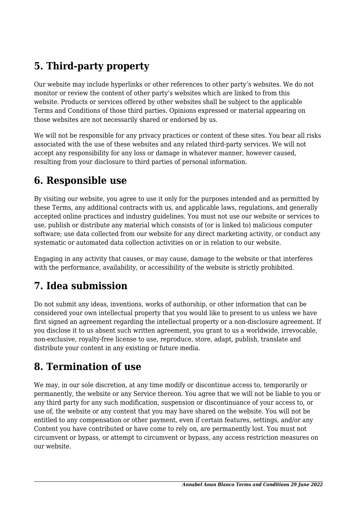# **5. Third-party property**

Our website may include hyperlinks or other references to other party's websites. We do not monitor or review the content of other party's websites which are linked to from this website. Products or services offered by other websites shall be subject to the applicable Terms and Conditions of those third parties. Opinions expressed or material appearing on those websites are not necessarily shared or endorsed by us.

We will not be responsible for any privacy practices or content of these sites. You bear all risks associated with the use of these websites and any related third-party services. We will not accept any responsibility for any loss or damage in whatever manner, however caused, resulting from your disclosure to third parties of personal information.

#### **6. Responsible use**

By visiting our website, you agree to use it only for the purposes intended and as permitted by these Terms, any additional contracts with us, and applicable laws, regulations, and generally accepted online practices and industry guidelines. You must not use our website or services to use, publish or distribute any material which consists of (or is linked to) malicious computer software; use data collected from our website for any direct marketing activity, or conduct any systematic or automated data collection activities on or in relation to our website.

Engaging in any activity that causes, or may cause, damage to the website or that interferes with the performance, availability, or accessibility of the website is strictly prohibited.

### **7. Idea submission**

Do not submit any ideas, inventions, works of authorship, or other information that can be considered your own intellectual property that you would like to present to us unless we have first signed an agreement regarding the intellectual property or a non-disclosure agreement. If you disclose it to us absent such written agreement, you grant to us a worldwide, irrevocable, non-exclusive, royalty-free license to use, reproduce, store, adapt, publish, translate and distribute your content in any existing or future media.

### **8. Termination of use**

We may, in our sole discretion, at any time modify or discontinue access to, temporarily or permanently, the website or any Service thereon. You agree that we will not be liable to you or any third party for any such modification, suspension or discontinuance of your access to, or use of, the website or any content that you may have shared on the website. You will not be entitled to any compensation or other payment, even if certain features, settings, and/or any Content you have contributed or have come to rely on, are permanently lost. You must not circumvent or bypass, or attempt to circumvent or bypass, any access restriction measures on our website.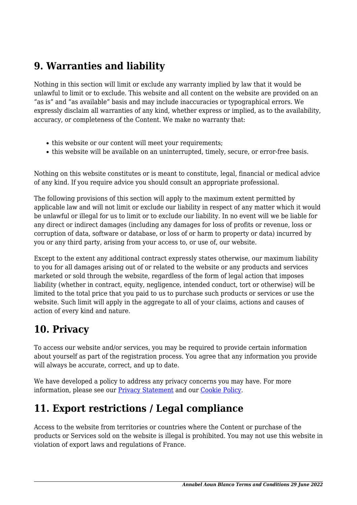### **9. Warranties and liability**

Nothing in this section will limit or exclude any warranty implied by law that it would be unlawful to limit or to exclude. This website and all content on the website are provided on an "as is" and "as available" basis and may include inaccuracies or typographical errors. We expressly disclaim all warranties of any kind, whether express or implied, as to the availability, accuracy, or completeness of the Content. We make no warranty that:

- this website or our content will meet your requirements;
- this website will be available on an uninterrupted, timely, secure, or error-free basis.

Nothing on this website constitutes or is meant to constitute, legal, financial or medical advice of any kind. If you require advice you should consult an appropriate professional.

The following provisions of this section will apply to the maximum extent permitted by applicable law and will not limit or exclude our liability in respect of any matter which it would be unlawful or illegal for us to limit or to exclude our liability. In no event will we be liable for any direct or indirect damages (including any damages for loss of profits or revenue, loss or corruption of data, software or database, or loss of or harm to property or data) incurred by you or any third party, arising from your access to, or use of, our website.

Except to the extent any additional contract expressly states otherwise, our maximum liability to you for all damages arising out of or related to the website or any products and services marketed or sold through the website, regardless of the form of legal action that imposes liability (whether in contract, equity, negligence, intended conduct, tort or otherwise) will be limited to the total price that you paid to us to purchase such products or services or use the website. Such limit will apply in the aggregate to all of your claims, actions and causes of action of every kind and nature.

### **10. Privacy**

To access our website and/or services, you may be required to provide certain information about yourself as part of the registration process. You agree that any information you provide will always be accurate, correct, and up to date.

We have developed a policy to address any privacy concerns you may have. For more information, please see our **Privacy Statement** and our [Cookie Policy](https://2022.annabelaounblanco.com/mentions-legales/).

### **11. Export restrictions / Legal compliance**

Access to the website from territories or countries where the Content or purchase of the products or Services sold on the website is illegal is prohibited. You may not use this website in violation of export laws and regulations of France.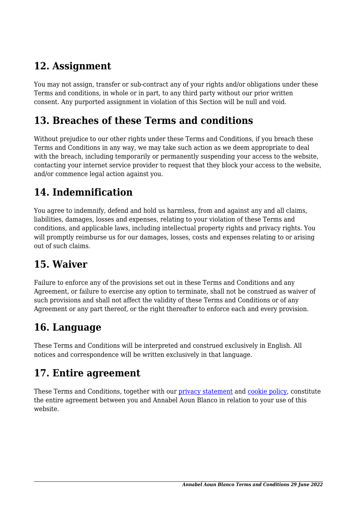### **12. Assignment**

You may not assign, transfer or sub-contract any of your rights and/or obligations under these Terms and conditions, in whole or in part, to any third party without our prior written consent. Any purported assignment in violation of this Section will be null and void.

#### **13. Breaches of these Terms and conditions**

Without prejudice to our other rights under these Terms and Conditions, if you breach these Terms and Conditions in any way, we may take such action as we deem appropriate to deal with the breach, including temporarily or permanently suspending your access to the website, contacting your internet service provider to request that they block your access to the website, and/or commence legal action against you.

# **14. Indemnification**

You agree to indemnify, defend and hold us harmless, from and against any and all claims, liabilities, damages, losses and expenses, relating to your violation of these Terms and conditions, and applicable laws, including intellectual property rights and privacy rights. You will promptly reimburse us for our damages, losses, costs and expenses relating to or arising out of such claims.

### **15. Waiver**

Failure to enforce any of the provisions set out in these Terms and Conditions and any Agreement, or failure to exercise any option to terminate, shall not be construed as waiver of such provisions and shall not affect the validity of these Terms and Conditions or of any Agreement or any part thereof, or the right thereafter to enforce each and every provision.

### **16. Language**

These Terms and Conditions will be interpreted and construed exclusively in English. All notices and correspondence will be written exclusively in that language.

#### **17. Entire agreement**

These Terms and Conditions, together with our privacy statement and [cookie policy,](https://2022.annabelaounblanco.com/mentions-legales/) constitute the entire agreement between you and Annabel Aoun Blanco in relation to your use of this website.